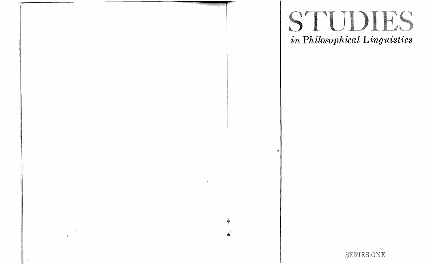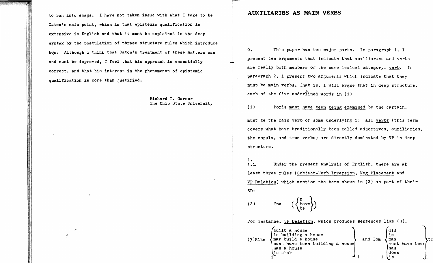to run into snags. I have not taken issue with what I take to be Caton's main point, which is that epistemic qualification is extensive in English and that it must be explained in the deep syntax by the postulation of phrase structure rules which introduce EQs. Although I think that Caton's treatment of these matters can and must be improved, I feel that his approach is essentially correct, and that his interest in the phenomenon of epistemic qualification is more than justified.

> Richard T. Garner The Ohio State University

## **AUXILIARIES AS MAIN VERBS**

O. This paper has two major parts. In paragraph 1, I present ten arguments that indicate that auxiliaries and verbs are really both members of the same lexical category, verb. In paragraph 2, I present two arguments which indicate that they must be main verbs. That is, I will argue that in deep structure, each of the five underlined words in (1)

(1) Boris must have been being examined by the captain,

must be the main verb of some underlying S: all verbs (this term covers what have traditionally been called adjectives, auxiliaries, the copula, and true verbs) are directly dominated by VP in deep structure.

 $1.1.1.$ Under the present analysis of English, there are at least three rules (Subject-Verb Inversion, Neg Placement and VP Deletion) which mention the term shown in (2) as part of their SD:

 $\left(\left\{\begin{matrix} M \\ \text{have} \\ \text{be} \end{matrix}\right\}\right)$ (2 ) Tns

For instance, VP Deletion, which produces sentences like (3),

| $(3)$ Mike | built a house<br>is building a house<br>may build a house<br>must have been building a house<br>has a house<br>\is sick | and Tom | did<br>1s<br>max<br>must have beer<br>has<br>ldoes | C CI |
|------------|-------------------------------------------------------------------------------------------------------------------------|---------|----------------------------------------------------|------|
|            |                                                                                                                         |         |                                                    |      |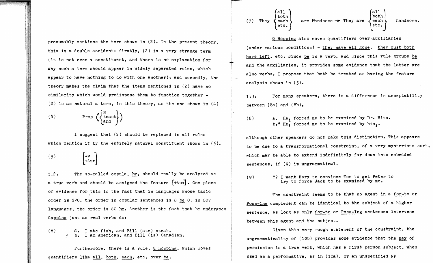presumably mentions the term shown in (2). In the present theory, this is a double accident: firstly. (2) is a very strange term (it is not even a constituent. and there is no explanation for why such a term should appear in widely separated rules. which appear to have nothing to do with one another); and secondly. the theory makes the claim that the items mentioned in (2) have no similarity which would predispose them to function together -(2) is as natural a term. in this theory, as the one shown in  $(4)$ 

$$
\begin{pmatrix} 4 \end{pmatrix} \qquad \text{Prep} \left( \begin{Bmatrix} N \\ \text{toast} \\ \text{and} \end{Bmatrix} \right)
$$

I suggest that (2) should be replaced in all rules which mention it by the entirely natural constituent shown in (5).

 $(5)$  $1+v$  $\left|+\mathrm{Aux}\right|$ 

1.2. The so-called copula, be, should really be analyzed as a true verb and should be assigned the feature  $[+Aux]$ . One piece of evidence for this is the fact that in languages whose basic order is SVO. the order in copular sentences is S be O; in SOV languages. the order is SO be. Another is the fact that be undergoes Gapping just as real verbs do:

 $(6)$   $\qquad$   $\qquad$   $\qquad$   $\qquad$   $\qquad$   $\qquad$   $\qquad$   $\qquad$   $\qquad$   $\qquad$   $\qquad$   $\qquad$   $\qquad$   $\qquad$   $\qquad$   $\qquad$   $\qquad$   $\qquad$   $\qquad$   $\qquad$   $\qquad$   $\qquad$   $\qquad$   $\qquad$   $\qquad$   $\qquad$   $\qquad$   $\qquad$   $\qquad$   $\qquad$   $\qquad$   $\qquad$   $\qquad$   $\qquad$   $\qquad$   $\qquad$ b. I am American, and Bill (is) Canadian.

Furthermore, there is a rule,  $Q$  Hopping, which moves quantifiers like all, both, each, etc. over be.

(7) They 
$$
\begin{Bmatrix} \text{all} \\ \text{both} \\ \text{etc.} \end{Bmatrix}
$$
 are  $\text{Handsome} \rightarrow \text{They are } \begin{Bmatrix} \text{all} \\ \text{both} \\ \text{etc.} \end{Bmatrix}$  handsome.

Q Hopping also moves quantifiers over auxiliaries (under various conditions) - they have all gone, they must both have left, etc. Since be is a verb, and since this rule groups be and the auxiliaries. it provides some evidence that the latter are also verbs. I propose that both be treated as having the feature analysis shown in (5).

For many speakers. there is a difference in acceptability  $1.3.$ between (8a) and (8b),

(8) a. He, forced me to be examined by D. e. Hito.  $b.*$  He, forced me to be examined by him,.

although other speakers do not make this distinction. This appears to be due to a transformational constraint. of a very mysterious sort. which may be able to extend indefinitely far down into embedded sentences. if (9) **is** ungrammatical.

?? I want Mary to convince Tom to get Peter to  $(9)$ try to force Jack to be examined by me.

The constraint seems to be that no agent in a for-to or Poss-Ing complement can be identical to the subject of a higher sentence, as long as only for-to or Poss-Ing sentences intervene between this agent and the subject.

Given this very rough statement of the constraint, the ungrammaticality of (lOb) provides some evidence that the may of permission is a true verb. Which has a first person subject. when used as a performative, as in (1Ca), or an unspecified NP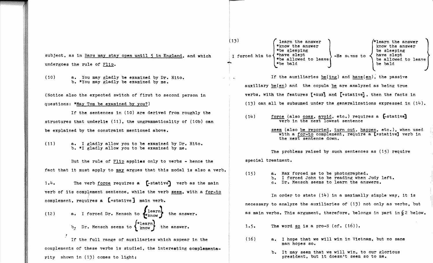undergoes the rule of Flip.

(10) a. You may gladly be examined by Dr. Rito. b. \*You may gladly be examined by me.

(Notice also the expected switch of first to second person in questions: \*May Tom be examined by you?)

If the sentences in (10) are derived from roughly the structures that underlie  $(11)$ , the ungrammaticality of  $(10b)$  can be explained by the constraint mentioned above.

( 11) a. I gladly allow you to be examined by Dr. Rito. b. \*I gladly allow you to be examined by me.

But the rule of Flip applies only to verbs - hence the fact that it must apply to may argues that this modal is also a verb.

 $1.4.$  The verb force requires a [-stative] verb as the main verb of its complement sentence, while the verb seem, with a for-to complement. requires a [+stative] main verb.

(12) a. I forced Dr. Mensch to 
$$
\{ \text{learn} \}
$$
 the answer.   
\nb. Dr. Mensch seems to  $\{ \text{mean} \}$  the answer.

If the full range of auxiliaries which appear in the  $(16)$ complements of these verbs is studied. rity shown in (13) comes to light: the interesting complementa-<br>
b. It may seem that we will win, to our glorious

(13)  $\left(\begin{array}{c}\n\text{learn the answer} \\
\text{known the answer}\n\end{array}\right)$   $\left(\begin{array}{c}\n\text{mean the answer} \\
\text{known the answer}\n\end{array}\right)$ \*know the answer<br>\*be sleeping be sleeping \*be sle-eping be sleeping subject, as in <u>Bars may stay open until 5 in England</u>, and which I forced him to  $*$ have slept  $*$  -He stems to  $*$  have slept be allowed to leave \*be allowed to leave service to be allow<br>\*be bald be bald If the auxiliaries be(ing) and have(en), the passive auxiliary  $be(en)$  and the copula be are analyzed as being true verbs. with the features  $[+Aux]$  and  $[+stative]$ , then the facts in (13) can all be subsumed under the generalizations expressed in  $(14)$ .  $(14)$  force (also coax, avoid, etc.) requires a  $[$ -stative] verb in the next lowest sentence seem (also be reported, turn out, happen, etc.), when used with a for-to complement, require a [+stative] verb in the next sentence down. The problems raised by such sentences as (15) require special treatment.  $(15)$ a. Max forced me to be photographed. b. I forced John to be reading when Judy left. c. Dr. Mensch seems to learn the answers. In order to state  $(14)$  in a maximally simple way, it is necessary to analyze the auxiliaries of (13) not only as verbs. but as main verbs. This argument, therefore, belongs in part in  $\S$  2 below. 1.5. The word so is a pro-S  $(cf. (16))$ . a. I hope that we will win in Vietnam, but no sane

president. but it doesn't seem so to me.

man hopes so.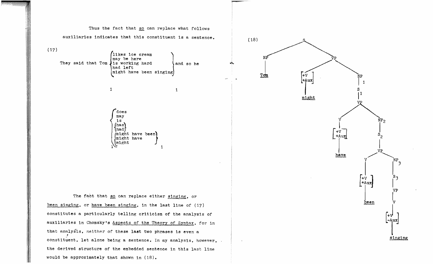

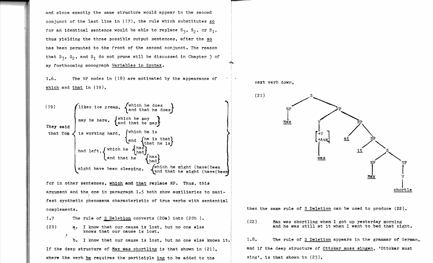and since exactly the same structure would appear in the second conjunct of the last line in  $(17)$ , the rule which substitutes so for an identical sentence would be able to replace  $S_3$ ,  $S_2$ , or  $S_1$ , thus yielding the three possible output sentences, after the has been permuted to the front of the second conjunct. The reason that  $S_3$ ,  $S_2$ , and  $S_1$  do not prune will be discussed in Chapter 3 of my forthcoming monograph Variables in Syntax.

1.6. The NP nodes in (18) are motivated by the appearance of which and that in (19),



for in other sentences, which and that replace NP. Thus, this argument and the one in paragraph 1.5 both show auxiliaries to manifest synthetic phenomena characteristic of true verbs with sentential complements.

1.7 The rule of S Deletion converts (20a) into (20b).

(20) I know that our cause is lost, but no one else knows that our cause is lost.

**b.** I know that our cause is lost, but no one else knows it. If the deep structure of Max was chortling is that shown in (21), and if the deep structure of Ottokar muss singen, 'Ottokar must where the verb be requires the participle ing to be added to the sing', is that shown in  $(23)$ ,

next verb down,



then the same rule of  $S$  Deletion can be used to produce  $(22)$ .

(22) Max was chortling when I got up yesterday morning and he was still at it when I went to bed that night.

1.8. The rule of S Deletion appears in the grammar of German,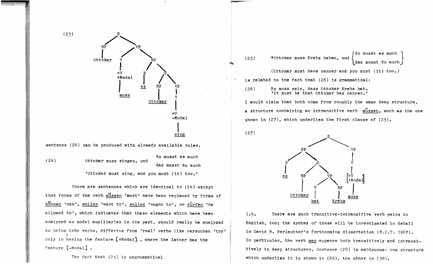

There are sentences which are identical to  $(24)$  except that forms of the verb mussen 'must' have been replaced by forms of konnen 'can', wollen 'want to', sollen 'ought to', or durfen 'be allowed to', which indicates that these elements which have been analyzed as modal auxiliaries in the past, should really be analyzed as being trüe verbs, differing from 'real' verbs like versuchen 'try' *t*  only ln 'haying the feature (+ModaI1 , where the latter has the feature (-Modal] •

The fact that (25) is ungrammatical

du musst es auch (25) \*Ottokar muss Krebs haben, und { das musst du auch (Ottokar must have cancer and you must (it) too.) is related to the fact that (26) is grammatical: (26) Es muss sein, dass Ottokar Krebs hat.<br>'It must be that Ottokar has cancer.' I would claim that both come from roughly the same deep structure.

a structure containing an intransitive verb  $\frac{\text{u}}{\text{m}}$ ssen, such as the one shown in  $(27)$ , which underlies the first clause of  $(25)$ .



 $(27)$ 

1.9. There are such transitive-intransitive verb pairs in English, too; the syntax of these will be investigated in detail in David M. Perlmutter's forthcoming dissertation (M.T.T. 1967). In particular, the verb may appears both transitively and intransitively in deep structures. Sentence (28) is ambiguous: one structure which underlies it is shown in (29), the other in (30).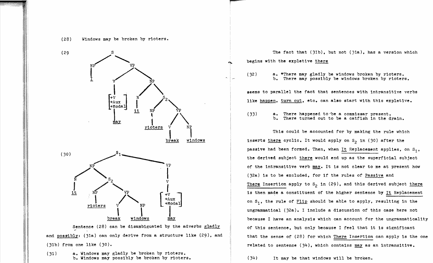



Sentence (28) can be disambiguated by the adverbs gladly and posgibly: (31a) can only derive from a structure like (29), and (31b) from one like (30).

(31) a. Windows may gladly be broken by rioters. b. Windows may possibly be broken by rioters.

(29 S The fact that (31b), but not (31a), has a version which begins with the expletive there

> (32) a. \*There may gladly be windows broken by rioters. b. There may possibly be windows broken by rioters.

seems to parallel the fact that sentences with intransitive verbs like happen, turn out, etc. can also start with this expletive.

(33) a. There happened to'be a commissar present. There turned out to be a catfish in the drain.

This could be accounted for by making the rule which inserts there cyclic. It would apply on  $S_2$  in (30) after the passive had been formed. Then, when It Replacement applies, on  $S_1$ , the derived subject there would end up as the superficial subject of the intransitive verb may. It is not clear to me at present how (32a) is to be excluded, for if the rules of Passive and There Insertion apply to  $S_2$  in (29), and this derived subject there is then made a constituent of the higher sentence by  $It$  Replacement on  $s_1$ , the rule of  $\underline{F11p}$  should be able to apply, resulting in the ungrammatical (32a). I include a discussion of this case here not because I have an analysis which can account for the ungrammaticality of this sentence, but only because I feel that it is significant that the sense of  $(28)$  for which There Insertion can apply is the one related to sentence  $(34)$ , which contains may as an intransitive.

(34) It may be that Windows will be broken.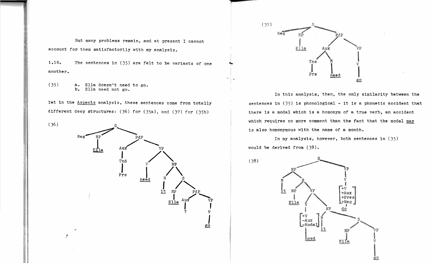But many problems remain, and at present I cannot account for them satisfactorily with my analysis.

1.10. The sentences in (35) are felt to be variants of one another.

 $(35)$  a. Ella doesn't need to go.<br>b. Ella need not go. b. Ella need not go.

Yet in the Aspects analysis, these sentences come from totally different deep structures: (36) for (35a), and (37) for (35b)





**;x** .. <sup>1</sup>

.~ .

In this analysis, then, the only similarity between the sentences in  $(35)$  is phonological  $-$  it is a phonetic accident that there is a modal which is a homonym of a true verb. an accident which requires no more comment than the fact that the modal may is also homonymous with the name of a month.

In my analysis. however. both sentences in (35) would be derived from (38).

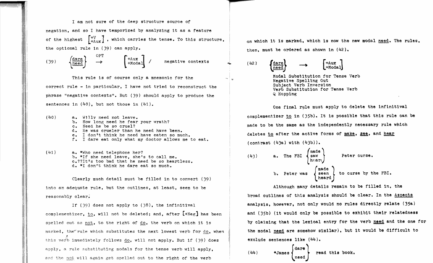I am not sure of the deep structure source of negation, and so I have temporized by analyzing it as a feature of the highest  $\begin{bmatrix} +V \\ +Aux \end{bmatrix}$ , which carries the tense. To this structure, the optional rule in (39) can apply.

(39) 
$$
\left\{\frac{\text{dare}}{\text{need}}\right\}
$$
  $\rightarrow$   $\left\{\begin{array}{l}\n+\text{Aux} \\
+\text{Modal}\n\end{array}\right\}$   $\wedge$  negative contexts

This rule is of course only a mnemonic for the correct rule - in particular, I have not tried to reconstruct the phrase "negative contexts". But (J9) should apply to produce the sentences in  $(40)$ , but not those in  $(41)$ .

- (40) a. W111v need not leave. b. How long need he fear your wrath? c. Need he be so cruel? d. He was crueler than he need have been. e. I don't think he need have eaten so much. f. I dare eat only what my doctor allows me to eat.
- (41) a. \*Who need telephone her? b. \*If she need leave, she's to call me. c.??It's too bad that he need be so heartless. d. \*1 don't think he dare eat so much.

Clearly much detail must be filled in to convert (39) into an adequate rule, but the outlines, at least, seem to be reasonably clear.

If (39) does not apply to (38), the infinitival complementizer, to, will not be deleted; and, after  $[+Ne\alpha]$  has been spelled out as not, to the right of do, the verb on which it is marked, the rule which substitutes the next lowest verb for do, when this verb immediately follows do, will not apply. But if (39) does apply, a rule substituting modals for the tense verb will apply, and the not will again get spelled out to the right of the verb

on which it Is marked. which is now the new modal need. The rules, then, must be ordered as shown in (42).

 $(42)$   $\left\{\frac{\text{dare}}{\text{need}}\right\}$   $\longrightarrow$   $\left[\begin{matrix} + \text{Aux} \\ + \text{Moda1} \end{matrix}\right]$ 

Modal Substitution for Tense Verb Negative Spelling Out Subject Verb Inversion Verb Substitution for Tense Verb Q Hopping

One final rule must apply to delete the infinitival complementizer in (J5b). It is possible that this rule can be made to be the same as the independently necessary rule whioh deletes to after the active forms of make, see, and hear  $(constant (43a) with (43b)).$ 

(43) a. The FBI  
\n
$$
\begin{cases}\n\text{made} \\
\text{hearc}\n\end{cases}
$$
\nPeter curse.  
\nb. Peter was  
\nheard  
\nbeard  
\nbeard

Although many details remain to be filled in, the broad outlines of this analysis should be clear. In the Aspects analysis, however, not only would no rules directly relate (35a.) and (J5b) (it would only be possible to exhibit their relatedness by claiming that the lexical entry for the verb need and the one for the modal are somehow similar), but it would be diffioult to exclude sentences like (44).

$$
(44) * James \begin{Bmatrix} \text{dare} \\ \text{need} \end{Bmatrix} \text{ read this book.}
$$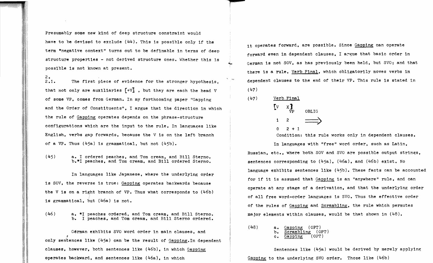Presumably some new kind of deep structure constraint would have to be devised to exclude (44). This is possible only if the term "negative context" turns out to be definable in terms of deep structure properties - not derived structure ones. Whether this is possible is not known at present.

 $2.$  $2.1.$ The first piece of evidence for the stronger hypothesis, that not only are auxiliaries  $\lceil + \sqrt{1} \rceil$ . but they are each the head V of some VP. comes from German. In my forthcoming paper "Gapping and the Order of Constituents". I argue that the direction in which the rule of Gapping operates depends on the phrase-structure configurations which are the input to the rule. In languages like English. verbs gap forwards, because the V is on the left branch of a VP. Thus  $(45a)$  is grammatical, but not  $(45b)$ .

 $(45)$ a. I ordered peaches, and Tom cream. and Bill Sterno. b.\*I peaches. and Tom cream. and Bill ordered Sterno.

In languages like Japanese. where the underlying order is SOV. the reverse is true: Gapping operates backwards because the V is on a right branch of VP. Thus what corresponds to (46b) is grammatical. but (46a) is not.

(46) a. \*1 peaches ordered. and Tom cream. and Bill Sterno. b. I peaches. and Tom cream. and Bill Sterno ordered.

German exhibits SVO word order in main clauses. and *t*  only sentences like (45a) can be the result of Gapping.In dependent clauses, however, both sentences like  $(46b)$ , in which Gapping operates backward, and sentences like (46a), in which

it operates forward. are possible. Since Gapping can operate forward even in dependent clauses. I argue that basic order in German is not SOV. as has previously been held. but SVO; and that there is a rule. Verb Final. which obligatorily moves verbs in dependent clauses to the end of their VP. This rule is stated in  $(47)$ 

Verb Final  $\begin{bmatrix} v & x \\ w & v \end{bmatrix}$ OBLIG  $\begin{array}{ccc} \n\sqrt{1} & \times & \times & \longrightarrow \\ \n\sqrt{1} & 2 & \longrightarrow \\ \n\end{array}$  $0 \t2 + 1$ 

 $(47)$ 

Condition: this rule works only in dependent clauses.

In languages with "free" word order. such as Latin. Russian. etc.. where both SOV and SVO are possible output strings. sentences corresponding to (45a). (46a). and (46b) exist. No language exhibits sentences like (45b). These facts can be accounted for if it is assumed that Gapping is an "anywhere" rule, and can operate at any stage of a derivation. and that the underlying order of all free word-order languages is SVO. Thus the effective order of the rules of Gapping and Scrambling. the rule which permutes major elements within clauses. would be that shown in (48).

(48) a. Gapping (OPT)<br>b. Scrambling (OPT) b. Scrambling (OP
c. Gapping (OPT) Gapping

Sentences like  $(45a)$  would be derived by merely applying Gapping to the underlying SVO order. Those like (46b)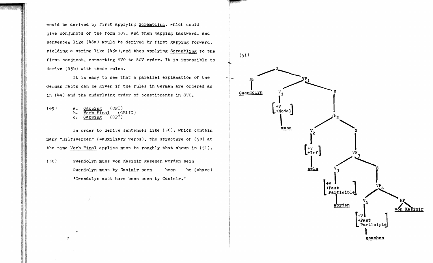would be derived by first applying Scrambling. which could give conjuncts of the form SOV. and then gapping backward. And sentences like (46a) would be derived by first gapping forward. yielding a string like  $(45a)$ , and then applying Scrambling to the first conjunct. converting SVO to SOV order. It is impossible to derive (45b) with these rules.

It is easy to see that a parallel explanation of the  $\sim$  NP German facts can be given if the rules in German are ordered as  $\begin{array}{c} \text{German} \\ \text{Gwendolyn} \end{array}$ in  $(49)$  and the underlying order of constituents in SVC.

 $(49)$  a.  $\frac{Gapping}{VerbFinal}$  (OPT)<br>b.  $VerbFinal$  (OBLIG)  $\frac{\text{Verb Final}}{\text{Gapping}}$  (OPT) c. Gapping

In order to derive sentences like  $(50)$ , which contain many "Hilfsverben" (=auxiliary verbs). the structure of (50) at the time Verb Final applies must be roughly that shown in  $(51)$ .

(50) Gwendolyn muss von Kasimir gesehen worden sein Gwendolyn must by Casimir seen been be (=have) 'Gwendolyn must have been seen by Casimir.'

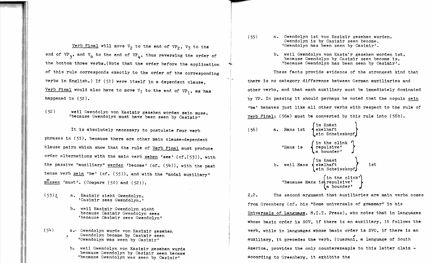Verb Final will move  $V_2$  to the end of VP<sub>2</sub>, V<sub>3</sub> to the end of VP<sub>3</sub>, and V<sub>4</sub> to the end of VP<sub>h</sub>, thus reversing the order of the bottom three verbs.(Note that the order before the application of this rule corresponds exactly to the order of the corresponding verbs in English.) If (51) were itself in a dependent clause. Verb Final would also have to move  $V_1$  to the end of  $VP_1$ , as has happened in (52).

(52 ) weil Gwendolyn von Kasimir gesehen worden sein muss. 'because Gwendolyn must have been seen by Casimir' ĺ

It is absolutely necessary to postulate four verb phrases in  $(51)$ , because there are other main clause-dependent blause pairs which show that the rule of Verb Final must produce order alternations with the main verb sehen 'see' (cf.(53)), with the passive "auxiliary" werden 'become' (cf. (54)), with the past tense verb  $sein 'be' (cf. (55)),$  and with the "modal auxiliary"</u> mussen 'must'. (Compare (50) and (52)).

- $(53)$   $\xi$ a. Kasimir sieht Gwendolyn. 'CasImir sees Gwendolyn.'
	- b. weil Kasimir Gwendolyn sieht because Casimir Gwendolyn sees 'because Casimir sees Gwendolyn'
- (54) a.", Gwendolyn wurde von Kasimir gesehen *t* Gwendolyn became by Casimir seen ٦ 'Gwendolyn was seen by Casimir'
	- b, weil Gwendolyn von Kasimir gesehen wurde because Gwendolyn by Casimir seen became 'because Gwendolyn was seen by Casimir'
- (55) a. Gwendolyn ist von Kasimir gesehen worden. Gwendolyn is by Casimir seen become. 'Gwendolyn has been seen by Casimir'.
	- b. weil Gwendolyn von Kasim'r gesehen worden ist. because Gwendolyn by Casimir seen become is. 'because Gwendolyn has been seen by Casimir'.

These facts provide evidence of the strongest kind that there is no category difference between German auxiliaries and other verbs, and that each auxiliary must be immediately dominated by VP. In passing it should perhaps be noted that the copula sein 'be' behaves just like all other verbs with respect to the rule of Verb Final:  $(56a)$  must be converted by this rule into  $(56b)$ .

(56) a. Hans 1st 
$$
\left\{\begin{array}{c}\n\text{Im Knast} \\
\text{ekelhart} \\
\text{eh Schelsskopf}\n\end{array}\right\}
$$
\n\nHans 1s  $\left\{\begin{array}{c}\n\text{Im the clink } \\
\text{repulsive'} \\
\text{a boundary'}\n\end{array}\right\}$ \n\nb. well Hans  $\left\{\begin{array}{c}\n\text{Im Knast} \\
\text{ekelhart} \\
\text{eh Schelsskopf}\n\end{array}\right\}$  1st\nbecause Hans 1s $\left\{\begin{array}{c}\n\text{Im the clink'} \\
\text{repulsive'} \\
\text{a boundary'}\n\end{array}\right\}$ 

 $2.2.$ The second argument that auxiliaries are main verbs comes from Greenberg (cf. his "Some universals of grammar" in his Universals of Language, M.I.T. Press), who notes that in languages whose basic order is SOY, if there is an auxiliary, it follows the verb, while in languages whose basic order 1s SVO, if there is an auxiliary, it precedes the verb. (Guarani, a language of South America, provides the only counterexample to this latter claim  $$ according to Greenberg, it exhibits the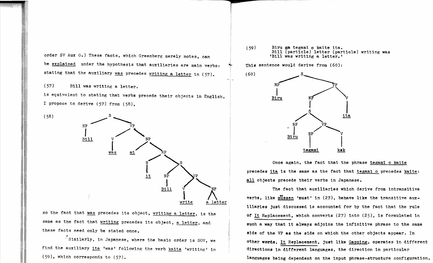order SV Aux 0.) These facts. which Greenberg merely notes. can be explained under the hypothesis that auxiliaries are main verbs: stating that the auxiliary was precedes writing a letter in (57).

(57) Bill was writing a letter.

is equivalent to stating that verbs precede their objects in English. I propose to derive (57) from (58).



so the fact that was precedes its object. writing a letter, is the same as the fact that writing precedes its object, a letter, and these facts need only be stated once.

 $^{\circ}$ Similarly, in Japanese, where the basic order is SOV, we find the auxiliary ita 'was' following the verb kaite 'writing' in (59). which corresponds to (57).

 $(59)$ Biru ga tegami 0 kaite ita. Bill (particle) letter (particle) writing was 'Bill was writing a letter.'

This sentence would derive from  $(60)$ :



Once again, the fact that the phrase tegami o kaite precedes ita is the same as the fact that tegami 0 precedes kaite: all objects precede their verbs in Japanese.

The fact that auxiliaries which derive from intransitive verbs. like mussen 'must' in  $(27)$ , behave like the transitive auxiliaries just discussed is accounted for by the fact that the rule of It Replacement, which converts  $(27)$  into  $(25)$ , is formulated in such a way that it always adjoins the infinitive phrase to the same side of the VP as the side on which the other objects appear. In other words. It Replacement. just like Gapping, operates in different directions in different languages. the direction in particular languages being dependent on the input phrase-structure configuration.